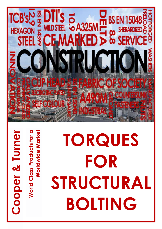## 15048 **BS**  $\overline{\mathbf{u}}$ A325 **HEXAGOI**  $0.58$

**World Class Products for a** 

**World Class Products for a** 

**Cooper & Turner**

Cooper & Turner

**Worldwide Market**

**Worldwide Market** 

## **TORQUES FOR STRUCTURAL BOLTING**